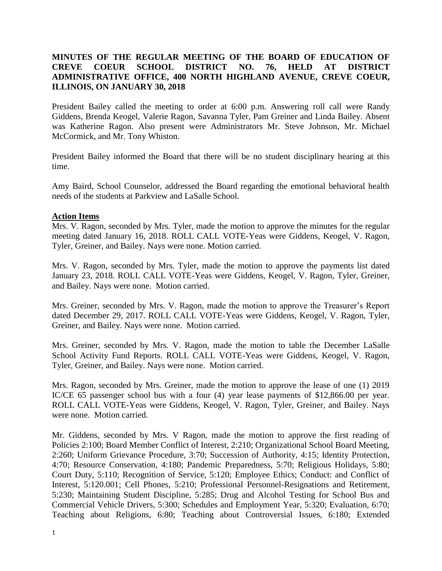## **MINUTES OF THE REGULAR MEETING OF THE BOARD OF EDUCATION OF CREVE COEUR SCHOOL DISTRICT NO. 76, HELD AT DISTRICT ADMINISTRATIVE OFFICE, 400 NORTH HIGHLAND AVENUE, CREVE COEUR, ILLINOIS, ON JANUARY 30, 2018**

President Bailey called the meeting to order at 6:00 p.m. Answering roll call were Randy Giddens, Brenda Keogel, Valerie Ragon, Savanna Tyler, Pam Greiner and Linda Bailey. Absent was Katherine Ragon. Also present were Administrators Mr. Steve Johnson, Mr. Michael McCormick, and Mr. Tony Whiston.

President Bailey informed the Board that there will be no student disciplinary hearing at this time.

Amy Baird, School Counselor, addressed the Board regarding the emotional behavioral health needs of the students at Parkview and LaSalle School.

#### **Action Items**

Mrs. V. Ragon, seconded by Mrs. Tyler, made the motion to approve the minutes for the regular meeting dated January 16, 2018. ROLL CALL VOTE-Yeas were Giddens, Keogel, V. Ragon, Tyler, Greiner, and Bailey. Nays were none. Motion carried.

Mrs. V. Ragon, seconded by Mrs. Tyler, made the motion to approve the payments list dated January 23, 2018. ROLL CALL VOTE-Yeas were Giddens, Keogel, V. Ragon, Tyler, Greiner, and Bailey. Nays were none. Motion carried.

Mrs. Greiner, seconded by Mrs. V. Ragon, made the motion to approve the Treasurer's Report dated December 29, 2017. ROLL CALL VOTE-Yeas were Giddens, Keogel, V. Ragon, Tyler, Greiner, and Bailey. Nays were none. Motion carried.

Mrs. Greiner, seconded by Mrs. V. Ragon, made the motion to table the December LaSalle School Activity Fund Reports. ROLL CALL VOTE-Yeas were Giddens, Keogel, V. Ragon, Tyler, Greiner, and Bailey. Nays were none. Motion carried.

Mrs. Ragon, seconded by Mrs. Greiner, made the motion to approve the lease of one (1) 2019 IC/CE 65 passenger school bus with a four (4) year lease payments of \$12,866.00 per year. ROLL CALL VOTE-Yeas were Giddens, Keogel, V. Ragon, Tyler, Greiner, and Bailey. Nays were none. Motion carried.

Mr. Giddens, seconded by Mrs. V Ragon, made the motion to approve the first reading of Policies 2:100; Board Member Conflict of Interest, 2:210; Organizational School Board Meeting, 2:260; Uniform Grievance Procedure, 3:70; Succession of Authority, 4:15; Identity Protection, 4:70; Resource Conservation, 4:180; Pandemic Preparedness, 5:70; Religious Holidays, 5:80; Court Duty, 5:110; Recognition of Service, 5:120; Employee Ethics; Conduct: and Conflict of Interest, 5:120.001; Cell Phones, 5:210; Professional Personnel-Resignations and Retirement, 5:230; Maintaining Student Discipline, 5:285; Drug and Alcohol Testing for School Bus and Commercial Vehicle Drivers, 5:300; Schedules and Employment Year, 5:320; Evaluation, 6:70; Teaching about Religions, 6:80; Teaching about Controversial Issues, 6:180; Extended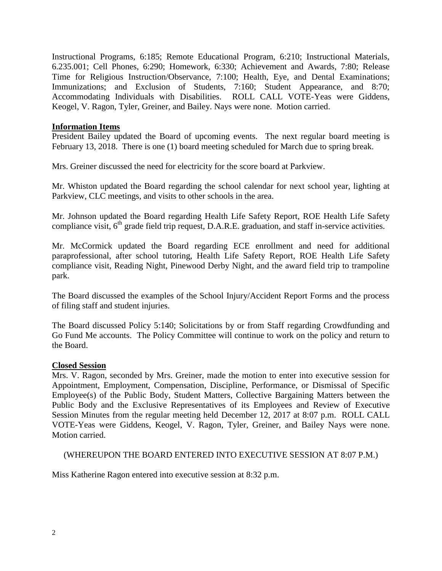Instructional Programs, 6:185; Remote Educational Program, 6:210; Instructional Materials, 6.235.001; Cell Phones, 6:290; Homework, 6:330; Achievement and Awards, 7:80; Release Time for Religious Instruction/Observance, 7:100; Health, Eye, and Dental Examinations; Immunizations; and Exclusion of Students, 7:160; Student Appearance, and 8:70; Accommodating Individuals with Disabilities. ROLL CALL VOTE-Yeas were Giddens, Keogel, V. Ragon, Tyler, Greiner, and Bailey. Nays were none. Motion carried.

### **Information Items**

President Bailey updated the Board of upcoming events. The next regular board meeting is February 13, 2018. There is one (1) board meeting scheduled for March due to spring break.

Mrs. Greiner discussed the need for electricity for the score board at Parkview.

Mr. Whiston updated the Board regarding the school calendar for next school year, lighting at Parkview, CLC meetings, and visits to other schools in the area.

Mr. Johnson updated the Board regarding Health Life Safety Report, ROE Health Life Safety compliance visit,  $6<sup>th</sup>$  grade field trip request, D.A.R.E. graduation, and staff in-service activities.

Mr. McCormick updated the Board regarding ECE enrollment and need for additional paraprofessional, after school tutoring, Health Life Safety Report, ROE Health Life Safety compliance visit, Reading Night, Pinewood Derby Night, and the award field trip to trampoline park.

The Board discussed the examples of the School Injury/Accident Report Forms and the process of filing staff and student injuries.

The Board discussed Policy 5:140; Solicitations by or from Staff regarding Crowdfunding and Go Fund Me accounts. The Policy Committee will continue to work on the policy and return to the Board.

#### **Closed Session**

Mrs. V. Ragon, seconded by Mrs. Greiner, made the motion to enter into executive session for Appointment, Employment, Compensation, Discipline, Performance, or Dismissal of Specific Employee(s) of the Public Body, Student Matters, Collective Bargaining Matters between the Public Body and the Exclusive Representatives of its Employees and Review of Executive Session Minutes from the regular meeting held December 12, 2017 at 8:07 p.m. ROLL CALL VOTE-Yeas were Giddens, Keogel, V. Ragon, Tyler, Greiner, and Bailey Nays were none. Motion carried.

#### (WHEREUPON THE BOARD ENTERED INTO EXECUTIVE SESSION AT 8:07 P.M.)

Miss Katherine Ragon entered into executive session at 8:32 p.m.